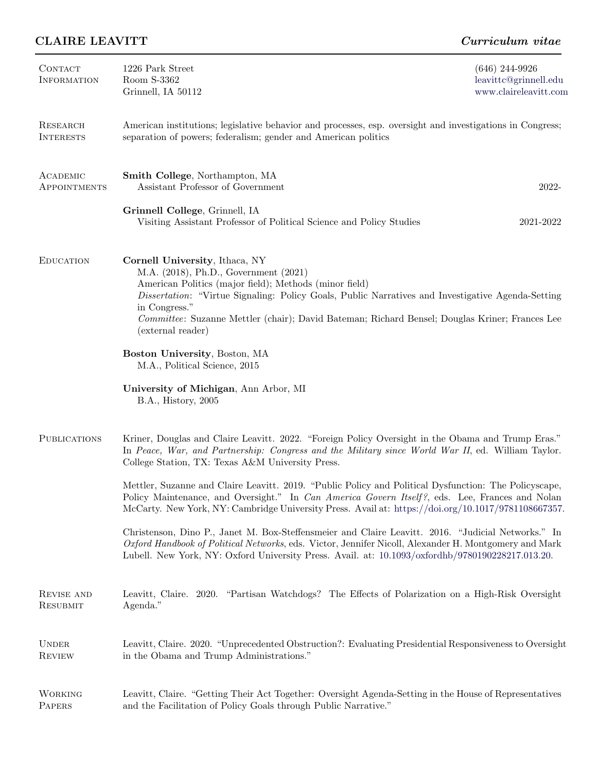## CLAIRE LEAVITT CURRE CURRE CURRE CURRE

| CONTACT<br><b>INFORMATION</b> | 1226 Park Street<br>Room S-3362<br>Grinnell, IA 50112                                                                                                                                                                                                                                                                                                                          | $(646)$ 244-9926<br>leavittc@grinnell.edu<br>www.claireleavitt.com |  |
|-------------------------------|--------------------------------------------------------------------------------------------------------------------------------------------------------------------------------------------------------------------------------------------------------------------------------------------------------------------------------------------------------------------------------|--------------------------------------------------------------------|--|
| RESEARCH<br><b>INTERESTS</b>  | American institutions; legislative behavior and processes, esp. oversight and investigations in Congress;<br>separation of powers; federalism; gender and American politics                                                                                                                                                                                                    |                                                                    |  |
| ACADEMIC<br>APPOINTMENTS      | Smith College, Northampton, MA<br>Assistant Professor of Government                                                                                                                                                                                                                                                                                                            | 2022-                                                              |  |
|                               | Grinnell College, Grinnell, IA<br>Visiting Assistant Professor of Political Science and Policy Studies                                                                                                                                                                                                                                                                         | 2021-2022                                                          |  |
| <b>EDUCATION</b>              | Cornell University, Ithaca, NY<br>M.A. (2018), Ph.D., Government (2021)<br>American Politics (major field); Methods (minor field)<br>Dissertation: "Virtue Signaling: Policy Goals, Public Narratives and Investigative Agenda-Setting<br>in Congress."<br>Committee: Suzanne Mettler (chair); David Bateman; Richard Bensel; Douglas Kriner; Frances Lee<br>(external reader) |                                                                    |  |
|                               | Boston University, Boston, MA<br>M.A., Political Science, 2015                                                                                                                                                                                                                                                                                                                 |                                                                    |  |
|                               | University of Michigan, Ann Arbor, MI<br>B.A., History, 2005                                                                                                                                                                                                                                                                                                                   |                                                                    |  |
| <b>PUBLICATIONS</b>           | Kriner, Douglas and Claire Leavitt. 2022. "Foreign Policy Oversight in the Obama and Trump Eras."<br>In Peace, War, and Partnership: Congress and the Military since World War II, ed. William Taylor.<br>College Station, TX: Texas A&M University Press.                                                                                                                     |                                                                    |  |
|                               | Mettler, Suzanne and Claire Leavitt. 2019. "Public Policy and Political Dysfunction: The Policyscape,<br>Policy Maintenance, and Oversight." In Can America Govern Itself?, eds. Lee, Frances and Nolan<br>McCarty. New York, NY: Cambridge University Press. Avail at: https://doi.org/10.1017/9781108667357.                                                                 |                                                                    |  |
|                               | Christenson, Dino P., Janet M. Box-Steffensmeier and Claire Leavitt. 2016. "Judicial Networks." In<br>Oxford Handbook of Political Networks, eds. Victor, Jennifer Nicoll, Alexander H. Montgomery and Mark<br>Lubell. New York, NY: Oxford University Press. Avail. at: 10.1093/oxfordhb/9780190228217.013.20.                                                                |                                                                    |  |
| REVISE AND<br>RESUBMIT        | Leavitt, Claire. 2020. "Partisan Watchdogs? The Effects of Polarization on a High-Risk Oversight<br>Agenda."                                                                                                                                                                                                                                                                   |                                                                    |  |
| <b>UNDER</b><br><b>REVIEW</b> | Leavitt, Claire. 2020. "Unprecedented Obstruction?: Evaluating Presidential Responsiveness to Oversight<br>in the Obama and Trump Administrations."                                                                                                                                                                                                                            |                                                                    |  |
| <b>WORKING</b><br>PAPERS      | Leavitt, Claire. "Getting Their Act Together: Oversight Agenda-Setting in the House of Representatives<br>and the Facilitation of Policy Goals through Public Narrative."                                                                                                                                                                                                      |                                                                    |  |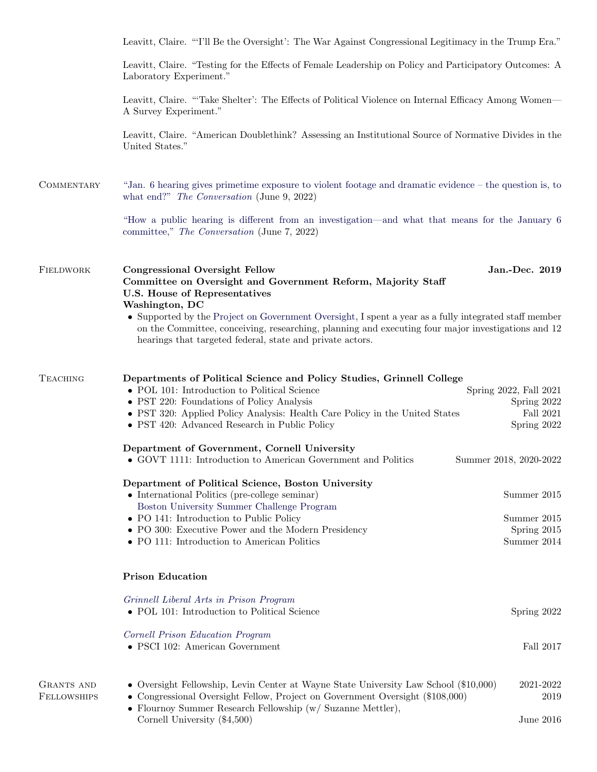|                                         | Leavitt, Claire. "T'll Be the Oversight': The War Against Congressional Legitimacy in the Trump Era."                                                                                                                                                                                              |                                                                   |  |  |
|-----------------------------------------|----------------------------------------------------------------------------------------------------------------------------------------------------------------------------------------------------------------------------------------------------------------------------------------------------|-------------------------------------------------------------------|--|--|
|                                         | Leavitt, Claire. "Testing for the Effects of Female Leadership on Policy and Participatory Outcomes: A<br>Laboratory Experiment."                                                                                                                                                                  |                                                                   |  |  |
|                                         | Leavitt, Claire. "Take Shelter': The Effects of Political Violence on Internal Efficacy Among Women—<br>A Survey Experiment."                                                                                                                                                                      |                                                                   |  |  |
|                                         | Leavitt, Claire. "American Doublethink? Assessing an Institutional Source of Normative Divides in the<br>United States."                                                                                                                                                                           |                                                                   |  |  |
| COMMENTARY                              | "Jan. 6 hearing gives primetime exposure to violent footage and dramatic evidence – the question is, to<br>what end?" The Conversation (June 9, 2022)                                                                                                                                              |                                                                   |  |  |
|                                         | "How a public hearing is different from an investigation—and what that means for the January 6<br>committee," The Conversation (June 7, 2022)                                                                                                                                                      |                                                                   |  |  |
| FIELDWORK                               | <b>Congressional Oversight Fellow</b><br>Committee on Oversight and Government Reform, Majority Staff<br>U.S. House of Representatives<br>Washington, DC                                                                                                                                           | Jan.-Dec. 2019                                                    |  |  |
|                                         | • Supported by the Project on Government Oversight, I spent a year as a fully integrated staff member<br>on the Committee, conceiving, researching, planning and executing four major investigations and 12<br>hearings that targeted federal, state and private actors.                           |                                                                   |  |  |
| <b>TEACHING</b>                         | Departments of Political Science and Policy Studies, Grinnell College<br>• POL 101: Introduction to Political Science<br>• PST 220: Foundations of Policy Analysis<br>• PST 320: Applied Policy Analysis: Health Care Policy in the United States<br>• PST 420: Advanced Research in Public Policy | Spring 2022, Fall 2021<br>Spring 2022<br>Fall 2021<br>Spring 2022 |  |  |
|                                         | Department of Government, Cornell University<br>• GOVT 1111: Introduction to American Government and Politics                                                                                                                                                                                      | Summer 2018, 2020-2022                                            |  |  |
|                                         | Department of Political Science, Boston University<br>• International Politics (pre-college seminar)<br>Boston University Summer Challenge Program<br>• PO 141: Introduction to Public Policy<br>• PO 300: Executive Power and the Modern Presidency                                               | Summer 2015<br>Summer 2015                                        |  |  |
|                                         | • PO 111: Introduction to American Politics                                                                                                                                                                                                                                                        | Spring 2015<br>Summer 2014                                        |  |  |
|                                         | <b>Prison Education</b>                                                                                                                                                                                                                                                                            |                                                                   |  |  |
|                                         | Grinnell Liberal Arts in Prison Program<br>• POL 101: Introduction to Political Science                                                                                                                                                                                                            | Spring 2022                                                       |  |  |
|                                         | Cornell Prison Education Program<br>• PSCI 102: American Government                                                                                                                                                                                                                                | Fall 2017                                                         |  |  |
| <b>GRANTS AND</b><br><b>FELLOWSHIPS</b> | • Oversight Fellowship, Levin Center at Wayne State University Law School (\$10,000)<br>• Congressional Oversight Fellow, Project on Government Oversight (\$108,000)<br>• Flournoy Summer Research Fellowship (w/ Suzanne Mettler),                                                               | 2021-2022<br>2019                                                 |  |  |
|                                         | Cornell University $(\$4,500)$                                                                                                                                                                                                                                                                     | June $2016$                                                       |  |  |